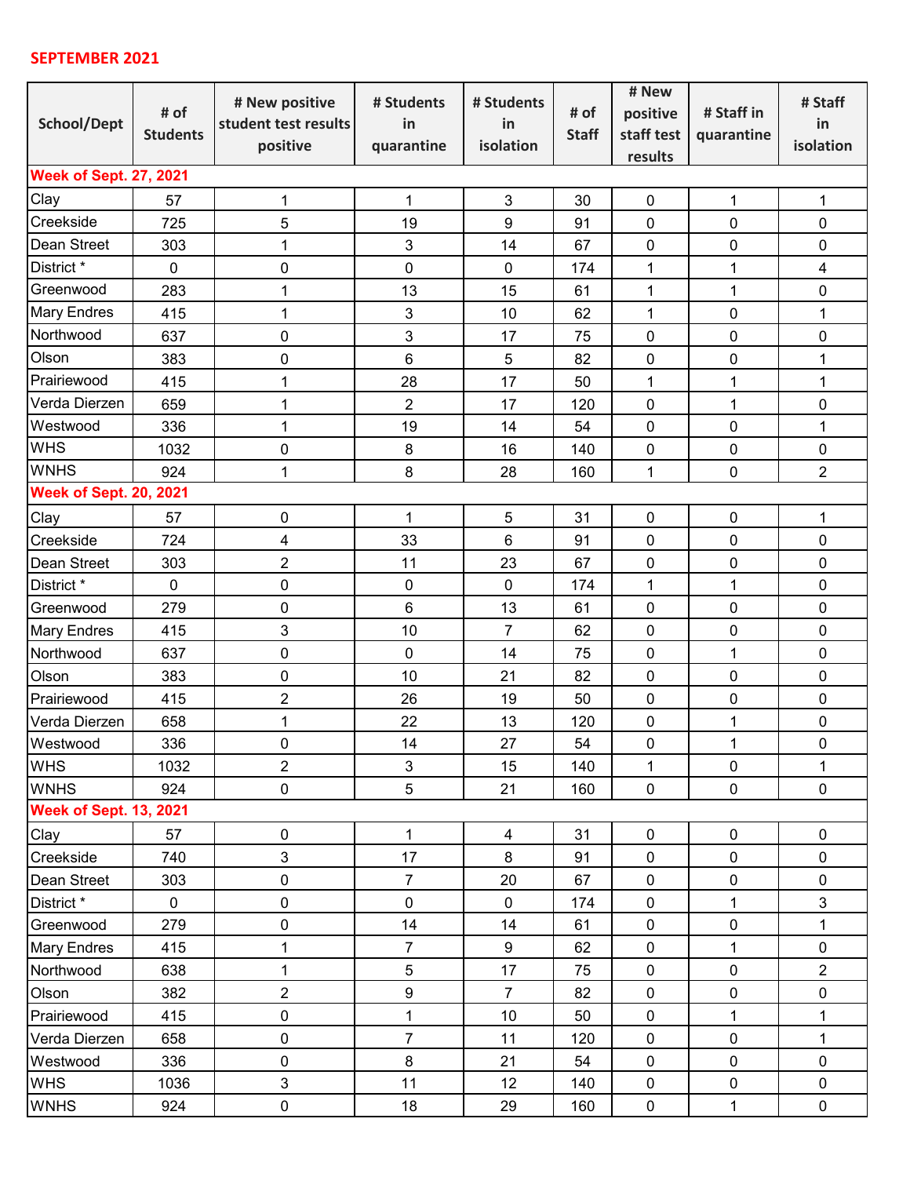## **SEPTEMBER 2021**

| School/Dept                   | # of<br><b>Students</b> | # New positive<br>student test results<br>positive | # Students<br>in<br>quarantine | # Students<br>in<br>isolation | # of<br><b>Staff</b> | # New                  | # Staff in<br>quarantine | # Staff        |  |  |  |
|-------------------------------|-------------------------|----------------------------------------------------|--------------------------------|-------------------------------|----------------------|------------------------|--------------------------|----------------|--|--|--|
|                               |                         |                                                    |                                |                               |                      | positive<br>staff test |                          | in             |  |  |  |
|                               |                         |                                                    |                                |                               |                      |                        |                          | isolation      |  |  |  |
|                               |                         |                                                    |                                |                               |                      | results                |                          |                |  |  |  |
| <b>Week of Sept. 27, 2021</b> |                         |                                                    |                                |                               |                      |                        |                          |                |  |  |  |
| Clay                          | 57                      | 1                                                  | $\mathbf 1$                    | $\mathbf{3}$                  | 30                   | $\mathbf 0$            | $\mathbf{1}$             | $\mathbf{1}$   |  |  |  |
| Creekside                     | 725                     | 5                                                  | 19                             | 9                             | 91                   | $\mathbf 0$            | $\mathbf 0$              | 0              |  |  |  |
| Dean Street                   | 303                     | 1                                                  | 3                              | 14                            | 67                   | 0                      | $\pmb{0}$                | 0              |  |  |  |
| District *                    | $\mathbf 0$             | $\pmb{0}$                                          | 0                              | $\mathbf 0$                   | 174                  | 1                      | 1                        | $\overline{4}$ |  |  |  |
| Greenwood                     | 283                     | 1                                                  | 13                             | 15                            | 61                   | 1                      | 1                        | 0              |  |  |  |
| <b>Mary Endres</b>            | 415                     | 1                                                  | 3                              | 10                            | 62                   | $\mathbf{1}$           | $\mathbf 0$              | $\mathbf{1}$   |  |  |  |
| Northwood                     | 637                     | $\mathbf 0$                                        | 3                              | 17                            | 75                   | 0                      | $\mathbf 0$              | 0              |  |  |  |
| Olson                         | 383                     | $\pmb{0}$                                          | 6                              | $\sqrt{5}$                    | 82                   | 0                      | $\mathbf 0$              | $\mathbf{1}$   |  |  |  |
| Prairiewood                   | 415                     | 1                                                  | 28                             | 17                            | 50                   | 1                      | 1                        | 1              |  |  |  |
| Verda Dierzen                 | 659                     | 1                                                  | $\overline{c}$                 | 17                            | 120                  | $\mathbf 0$            | 1                        | $\mathbf 0$    |  |  |  |
| Westwood                      | 336                     | 1                                                  | 19                             | 14                            | 54                   | $\mathbf 0$            | $\mathbf 0$              | $\mathbf{1}$   |  |  |  |
| <b>WHS</b>                    | 1032                    | $\pmb{0}$                                          | 8                              | 16                            | 140                  | $\pmb{0}$              | $\pmb{0}$                | 0              |  |  |  |
| <b>WNHS</b>                   | 924                     | 1                                                  | 8                              | 28                            | 160                  | 1                      | $\mathbf 0$              | $\overline{2}$ |  |  |  |
| <b>Week of Sept. 20, 2021</b> |                         |                                                    |                                |                               |                      |                        |                          |                |  |  |  |
| Clay                          | 57                      | $\pmb{0}$                                          | $\mathbf{1}$                   | $\sqrt{5}$                    | 31                   | $\pmb{0}$              | $\mathbf 0$              | $\mathbf{1}$   |  |  |  |
| Creekside                     | 724                     | 4                                                  | 33                             | 6                             | 91                   | 0                      | $\mathbf 0$              | 0              |  |  |  |
| Dean Street                   | 303                     | $\overline{2}$                                     | 11                             | 23                            | 67                   | 0                      | $\mathbf 0$              | 0              |  |  |  |
| District *                    | $\mathbf 0$             | 0                                                  | 0                              | $\mathbf 0$                   | 174                  | 1                      | 1                        | 0              |  |  |  |
| Greenwood                     | 279                     | 0                                                  | 6                              | 13                            | 61                   | $\mathbf 0$            | $\mathbf 0$              | 0              |  |  |  |
| <b>Mary Endres</b>            | 415                     | 3                                                  | 10                             | $\overline{7}$                | 62                   | 0                      | $\mathbf 0$              | 0              |  |  |  |
| Northwood                     | 637                     | 0                                                  | $\mathbf 0$                    | 14                            | 75                   | $\mathbf 0$            | $\mathbf{1}$             | $\pmb{0}$      |  |  |  |
| Olson                         | 383                     | $\pmb{0}$                                          | 10                             | 21                            | 82                   | $\mathbf 0$            | $\mathbf 0$              | $\pmb{0}$      |  |  |  |
| Prairiewood                   | 415                     | 2                                                  | 26                             | 19                            | 50                   | $\pmb{0}$              | $\mathbf 0$              | $\mathbf 0$    |  |  |  |
| Verda Dierzen                 | 658                     | 1                                                  | 22                             | 13                            | 120                  | 0                      | 1                        | 0              |  |  |  |
| Westwood                      | 336                     | $\mathbf 0$                                        | 14                             | 27                            | 54                   | $\mathbf 0$            | $\mathbf 1$              | $\mathbf 0$    |  |  |  |
| <b>WHS</b>                    | 1032                    | $\overline{2}$                                     | 3                              | 15                            | 140                  | $\mathbf{1}$           | $\mathbf 0$              | $\mathbf{1}$   |  |  |  |
| <b>WNHS</b>                   | 924                     | $\pmb{0}$                                          | 5                              | 21                            | 160                  | $\pmb{0}$              | $\pmb{0}$                | $\pmb{0}$      |  |  |  |
| <b>Week of Sept. 13, 2021</b> |                         |                                                    |                                |                               |                      |                        |                          |                |  |  |  |
| Clay                          | 57                      | $\pmb{0}$                                          | $\mathbf{1}$                   | $\overline{4}$                | 31                   | 0                      | $\pmb{0}$                | $\pmb{0}$      |  |  |  |
| Creekside                     | 740                     | 3                                                  | 17                             | $\bf 8$                       | 91                   | 0                      | $\pmb{0}$                | $\pmb{0}$      |  |  |  |
| Dean Street                   | 303                     | $\pmb{0}$                                          | $\overline{7}$                 | 20                            | 67                   | $\pmb{0}$              | $\pmb{0}$                | $\pmb{0}$      |  |  |  |
| District *                    | $\mathbf 0$             | 0                                                  | $\pmb{0}$                      | $\mathbf 0$                   | 174                  | $\pmb{0}$              | 1                        | 3              |  |  |  |
| Greenwood                     | 279                     | $\pmb{0}$                                          | 14                             | 14                            | 61                   | 0                      | $\pmb{0}$                | $\mathbf 1$    |  |  |  |
| <b>Mary Endres</b>            | 415                     | 1                                                  | $\overline{7}$                 | 9                             | 62                   | $\pmb{0}$              | $\mathbf 1$              | $\pmb{0}$      |  |  |  |
| Northwood                     | 638                     | 1                                                  | 5                              | 17                            | 75                   | $\pmb{0}$              | $\pmb{0}$                | $\overline{2}$ |  |  |  |
| Olson                         | 382                     | $\overline{c}$                                     | 9                              | $\overline{7}$                | 82                   | 0                      | $\pmb{0}$                | $\pmb{0}$      |  |  |  |
| Prairiewood                   | 415                     | 0                                                  | $\mathbf{1}$                   | $10$                          | 50                   | 0                      | $\mathbf 1$              | $\mathbf{1}$   |  |  |  |
| Verda Dierzen                 | 658                     | $\pmb{0}$                                          | $\overline{7}$                 | 11                            | 120                  | $\pmb{0}$              | $\pmb{0}$                | $\mathbf{1}$   |  |  |  |
| Westwood                      | 336                     | $\mathbf 0$                                        | 8                              | 21                            | 54                   | 0                      | $\pmb{0}$                | $\pmb{0}$      |  |  |  |
| <b>WHS</b>                    | 1036                    | 3                                                  | 11                             | 12                            | 140                  | 0                      | $\pmb{0}$                | $\pmb{0}$      |  |  |  |
| <b>WNHS</b>                   | 924                     | $\pmb{0}$                                          | 18                             | 29                            | 160                  | $\pmb{0}$              | $\mathbf{1}$             | $\pmb{0}$      |  |  |  |